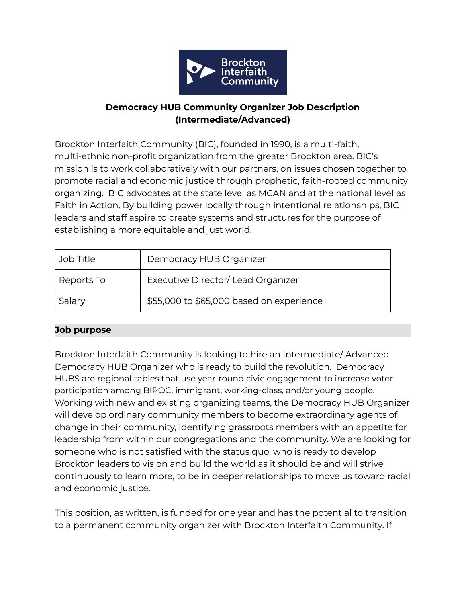

## **Democracy HUB Community Organizer Job Description (Intermediate/Advanced)**

Brockton Interfaith Community (BIC), founded in 1990, is a multi-faith, multi-ethnic non-profit organization from the greater Brockton area. BIC's mission is to work collaboratively with our partners, on issues chosen together to promote racial and economic justice through prophetic, faith-rooted community organizing. BIC advocates at the state level as MCAN and at the national level as Faith in Action. By building power locally through intentional relationships, BIC leaders and staff aspire to create systems and structures for the purpose of establishing a more equitable and just world.

| Job Title  | Democracy HUB Organizer                  |
|------------|------------------------------------------|
| Reports To | Executive Director/Lead Organizer        |
| Salary     | \$55,000 to \$65,000 based on experience |

### **Job purpose**

Brockton Interfaith Community is looking to hire an Intermediate/ Advanced Democracy HUB Organizer who is ready to build the revolution. Democracy HUBS are regional tables that use year-round civic engagement to increase voter participation among BIPOC, immigrant, working-class, and/or young people. Working with new and existing organizing teams, the Democracy HUB Organizer will develop ordinary community members to become extraordinary agents of change in their community, identifying grassroots members with an appetite for leadership from within our congregations and the community. We are looking for someone who is not satisfied with the status quo, who is ready to develop Brockton leaders to vision and build the world as it should be and will strive continuously to learn more, to be in deeper relationships to move us toward racial and economic justice.

This position, as written, is funded for one year and has the potential to transition to a permanent community organizer with Brockton Interfaith Community. If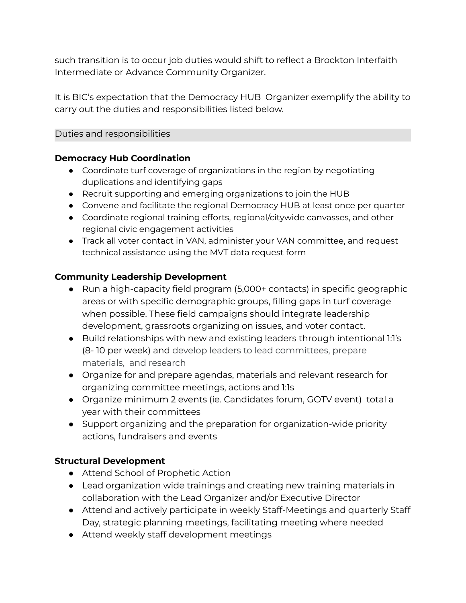such transition is to occur job duties would shift to reflect a Brockton Interfaith Intermediate or Advance Community Organizer.

It is BIC's expectation that the Democracy HUB Organizer exemplify the ability to carry out the duties and responsibilities listed below.

Duties and responsibilities

### **Democracy Hub Coordination**

- Coordinate turf coverage of organizations in the region by negotiating duplications and identifying gaps
- Recruit supporting and emerging organizations to join the HUB
- Convene and facilitate the regional Democracy HUB at least once per quarter
- Coordinate regional training efforts, regional/citywide canvasses, and other regional civic engagement activities
- Track all voter contact in VAN, administer your VAN committee, and request technical assistance using the MVT data [request](https://docs.google.com/forms/d/e/1FAIpQLSefS3Wp-Z70ULCcPdNea-RzXN7fvUjlC_QIAm884BoPQ8ryZQ/viewform) form

### **Community Leadership Development**

- Run a high-capacity field program (5,000+ contacts) in specific geographic areas or with specific demographic groups, filling gaps in turf coverage when possible. These field campaigns should integrate leadership development, grassroots organizing on issues, and voter contact.
- Build relationships with new and existing leaders through intentional 1:1's (8- 10 per week) and develop leaders to lead committees, prepare materials, and research
- Organize for and prepare agendas, materials and relevant research for organizing committee meetings, actions and 1:1s
- Organize minimum 2 events (ie. Candidates forum, GOTV event) total a year with their committees
- Support organizing and the preparation for organization-wide priority actions, fundraisers and events

## **Structural Development**

- Attend School of Prophetic Action
- Lead organization wide trainings and creating new training materials in collaboration with the Lead Organizer and/or Executive Director
- Attend and actively participate in weekly Staff-Meetings and quarterly Staff Day, strategic planning meetings, facilitating meeting where needed
- Attend weekly staff development meetings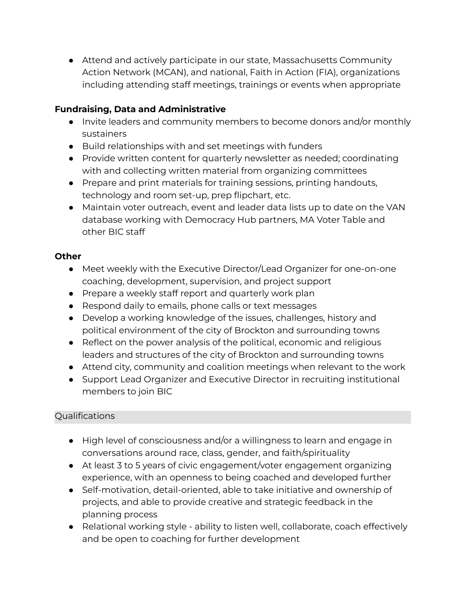● Attend and actively participate in our state, Massachusetts Community Action Network (MCAN), and national, Faith in Action (FIA), organizations including attending staff meetings, trainings or events when appropriate

# **Fundraising, Data and Administrative**

- Invite leaders and community members to become donors and/or monthly sustainers
- Build relationships with and set meetings with funders
- Provide written content for quarterly newsletter as needed; coordinating with and collecting written material from organizing committees
- Prepare and print materials for training sessions, printing handouts, technology and room set-up, prep flipchart, etc.
- Maintain voter outreach, event and leader data lists up to date on the VAN database working with Democracy Hub partners, MA Voter Table and other BIC staff

## **Other**

- Meet weekly with the Executive Director/Lead Organizer for one-on-one coaching, development, supervision, and project support
- Prepare a weekly staff report and quarterly work plan
- Respond daily to emails, phone calls or text messages
- Develop a working knowledge of the issues, challenges, history and political environment of the city of Brockton and surrounding towns
- Reflect on the power analysis of the political, economic and religious leaders and structures of the city of Brockton and surrounding towns
- Attend city, community and coalition meetings when relevant to the work
- Support Lead Organizer and Executive Director in recruiting institutional members to join BIC

## Qualifications

- High level of consciousness and/or a willingness to learn and engage in conversations around race, class, gender, and faith/spirituality
- At least 3 to 5 years of civic engagement/voter engagement organizing experience, with an openness to being coached and developed further
- Self-motivation, detail-oriented, able to take initiative and ownership of projects, and able to provide creative and strategic feedback in the planning process
- Relational working style ability to listen well, collaborate, coach effectively and be open to coaching for further development